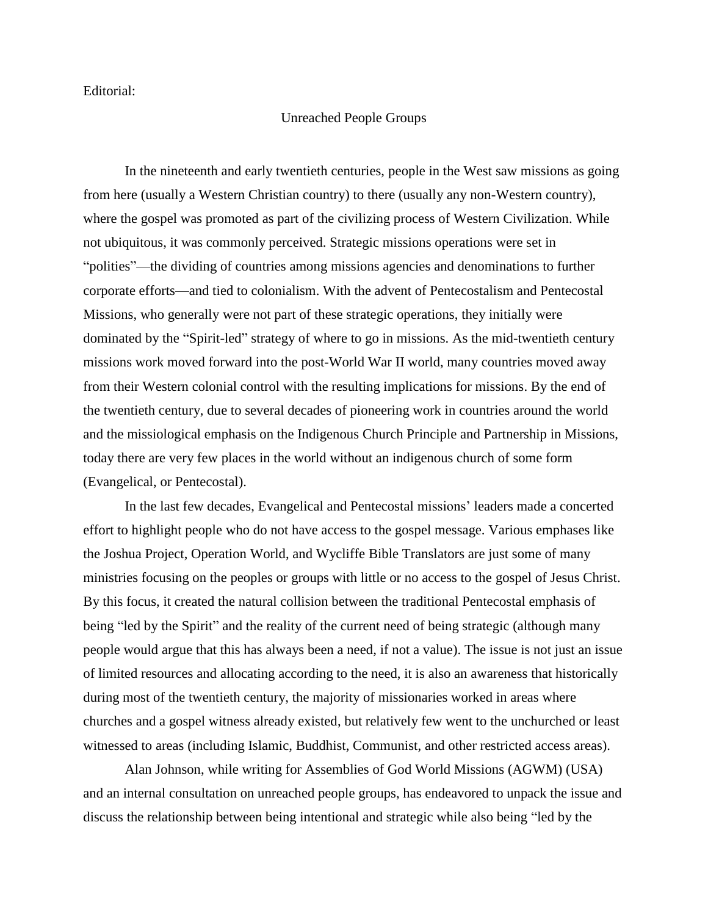Editorial:

## Unreached People Groups

In the nineteenth and early twentieth centuries, people in the West saw missions as going from here (usually a Western Christian country) to there (usually any non-Western country), where the gospel was promoted as part of the civilizing process of Western Civilization. While not ubiquitous, it was commonly perceived. Strategic missions operations were set in "polities"—the dividing of countries among missions agencies and denominations to further corporate efforts—and tied to colonialism. With the advent of Pentecostalism and Pentecostal Missions, who generally were not part of these strategic operations, they initially were dominated by the "Spirit-led" strategy of where to go in missions. As the mid-twentieth century missions work moved forward into the post-World War II world, many countries moved away from their Western colonial control with the resulting implications for missions. By the end of the twentieth century, due to several decades of pioneering work in countries around the world and the missiological emphasis on the Indigenous Church Principle and Partnership in Missions, today there are very few places in the world without an indigenous church of some form (Evangelical, or Pentecostal).

In the last few decades, Evangelical and Pentecostal missions' leaders made a concerted effort to highlight people who do not have access to the gospel message. Various emphases like the Joshua Project, Operation World, and Wycliffe Bible Translators are just some of many ministries focusing on the peoples or groups with little or no access to the gospel of Jesus Christ. By this focus, it created the natural collision between the traditional Pentecostal emphasis of being "led by the Spirit" and the reality of the current need of being strategic (although many people would argue that this has always been a need, if not a value). The issue is not just an issue of limited resources and allocating according to the need, it is also an awareness that historically during most of the twentieth century, the majority of missionaries worked in areas where churches and a gospel witness already existed, but relatively few went to the unchurched or least witnessed to areas (including Islamic, Buddhist, Communist, and other restricted access areas).

Alan Johnson, while writing for Assemblies of God World Missions (AGWM) (USA) and an internal consultation on unreached people groups, has endeavored to unpack the issue and discuss the relationship between being intentional and strategic while also being "led by the